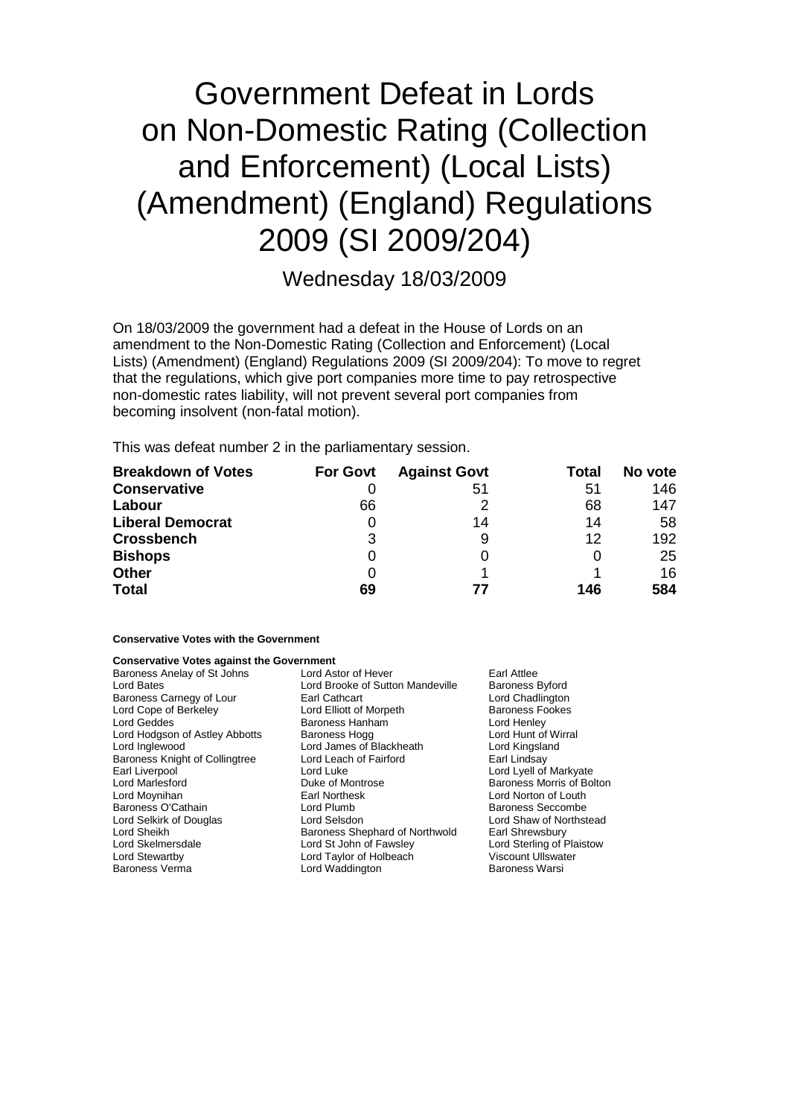# Government Defeat in Lords on Non-Domestic Rating (Collection and Enforcement) (Local Lists) (Amendment) (England) Regulations 2009 (SI 2009/204)

### Wednesday 18/03/2009

On 18/03/2009 the government had a defeat in the House of Lords on an amendment to the Non-Domestic Rating (Collection and Enforcement) (Local Lists) (Amendment) (England) Regulations 2009 (SI 2009/204): To move to regret that the regulations, which give port companies more time to pay retrospective non-domestic rates liability, will not prevent several port companies from becoming insolvent (non-fatal motion).

This was defeat number 2 in the parliamentary session.

| <b>Breakdown of Votes</b> | <b>For Govt</b> | <b>Against Govt</b> | Total | No vote |
|---------------------------|-----------------|---------------------|-------|---------|
| <b>Conservative</b>       |                 | 51                  | 51    | 146     |
| Labour                    | 66              |                     | 68    | 147     |
| <b>Liberal Democrat</b>   |                 | 14                  | 14    | 58      |
| <b>Crossbench</b>         | 3               | 9                   | 12    | 192     |
| <b>Bishops</b>            | 0               | 0                   |       | 25      |
| <b>Other</b>              |                 |                     |       | 16      |
| <b>Total</b>              | 69              | 77                  | 146   | 584     |

#### **Conservative Votes with the Government**

#### **Conservative Votes against the Government**

| Baroness Anelay of St Johns           | Lord Astor of Hever              | Earl Attlee               |
|---------------------------------------|----------------------------------|---------------------------|
| Lord Bates                            | Lord Brooke of Sutton Mandeville | <b>Baroness Byford</b>    |
| Baroness Carnegy of Lour              | Earl Cathcart                    | Lord Chadlington          |
| Lord Cope of Berkeley                 | Lord Elliott of Morpeth          | <b>Baroness Fookes</b>    |
| Lord Geddes                           | Baroness Hanham                  | Lord Henley               |
| Lord Hodgson of Astley Abbotts        | Baroness Hogg                    | Lord Hunt of Wirral       |
| Lord Inglewood                        | Lord James of Blackheath         | Lord Kingsland            |
| <b>Baroness Knight of Collingtree</b> | Lord Leach of Fairford           | Earl Lindsay              |
| Earl Liverpool                        | Lord Luke                        | Lord Lyell of Markyate    |
| Lord Marlesford                       | Duke of Montrose                 | Baroness Morris of Bolton |
| Lord Moynihan                         | <b>Earl Northesk</b>             | Lord Norton of Louth      |
| Baroness O'Cathain                    | Lord Plumb                       | <b>Baroness Seccombe</b>  |
| Lord Selkirk of Douglas               | Lord Selsdon                     | Lord Shaw of Northstead   |
| Lord Sheikh                           | Baroness Shephard of Northwold   | Earl Shrewsbury           |
| Lord Skelmersdale                     | Lord St John of Fawsley          | Lord Sterling of Plaistow |
| Lord Stewartby                        | Lord Taylor of Holbeach          | <b>Viscount Ullswater</b> |
| <b>Baroness Verma</b>                 | Lord Waddington                  | Baroness Warsi            |